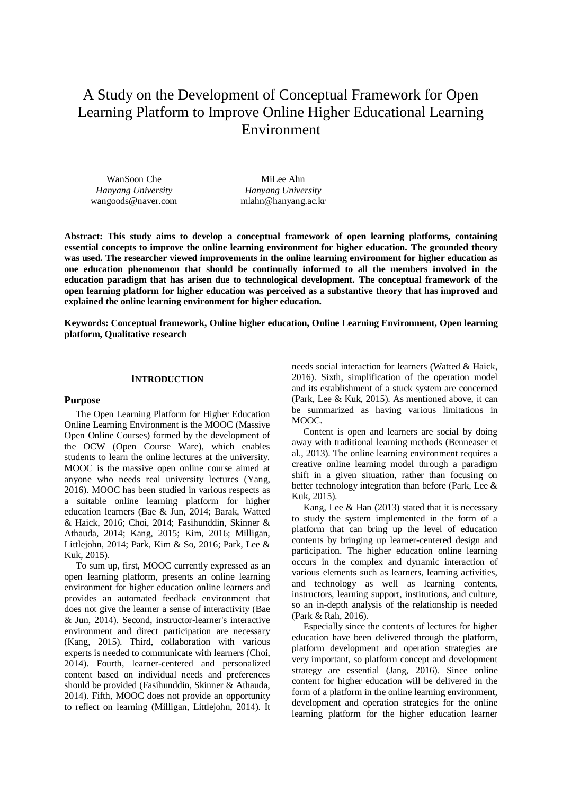# A Study on the Development of Conceptual Framework for Open Learning Platform to Improve Online Higher Educational Learning Environment

WanSoon Che *Hanyang University* wangoods@naver.com

MiLee Ahn *Hanyang University* mlahn@hanyang.ac.kr

**Abstract: This study aims to develop a conceptual framework of open learning platforms, containing essential concepts to improve the online learning environment for higher education. The grounded theory was used. The researcher viewed improvements in the online learning environment for higher education as one education phenomenon that should be continually informed to all the members involved in the education paradigm that has arisen due to technological development. The conceptual framework of the open learning platform for higher education was perceived as a substantive theory that has improved and explained the online learning environment for higher education.**

**Keywords: Conceptual framework, Online higher education, Online Learning Environment, Open learning platform, Qualitative research**

# **INTRODUCTION**

## **Purpose**

The Open Learning Platform for Higher Education Online Learning Environment is the MOOC (Massive Open Online Courses) formed by the development of the OCW (Open Course Ware), which enables students to learn the online lectures at the university. MOOC is the massive open online course aimed at anyone who needs real university lectures (Yang, 2016). MOOC has been studied in various respects as a suitable online learning platform for higher education learners (Bae & Jun, 2014; Barak, Watted & Haick, 2016; Choi, 2014; Fasihunddin, Skinner & Athauda, 2014; Kang, 2015; Kim, 2016; Milligan, Littlejohn, 2014; Park, Kim & So, 2016; Park, Lee & Kuk, 2015).

To sum up, first, MOOC currently expressed as an open learning platform, presents an online learning environment for higher education online learners and provides an automated feedback environment that does not give the learner a sense of interactivity (Bae & Jun, 2014). Second, instructor-learner's interactive environment and direct participation are necessary (Kang, 2015). Third, collaboration with various experts is needed to communicate with learners (Choi, 2014). Fourth, learner-centered and personalized content based on individual needs and preferences should be provided (Fasihunddin, Skinner & Athauda, 2014). Fifth, MOOC does not provide an opportunity to reflect on learning (Milligan, Littlejohn, 2014). It needs social interaction for learners (Watted & Haick, 2016). Sixth, simplification of the operation model and its establishment of a stuck system are concerned (Park, Lee & Kuk, 2015). As mentioned above, it can be summarized as having various limitations in MOOC.

Content is open and learners are social by doing away with traditional learning methods (Benneaser et al., 2013). The online learning environment requires a creative online learning model through a paradigm shift in a given situation, rather than focusing on better technology integration than before (Park, Lee & Kuk, 2015).

Kang, Lee & Han (2013) stated that it is necessary to study the system implemented in the form of a platform that can bring up the level of education contents by bringing up learner-centered design and participation. The higher education online learning occurs in the complex and dynamic interaction of various elements such as learners, learning activities, and technology as well as learning contents, instructors, learning support, institutions, and culture, so an in-depth analysis of the relationship is needed (Park & Rah, 2016).

Especially since the contents of lectures for higher education have been delivered through the platform, platform development and operation strategies are very important, so platform concept and development strategy are essential (Jang, 2016). Since online content for higher education will be delivered in the form of a platform in the online learning environment, development and operation strategies for the online learning platform for the higher education learner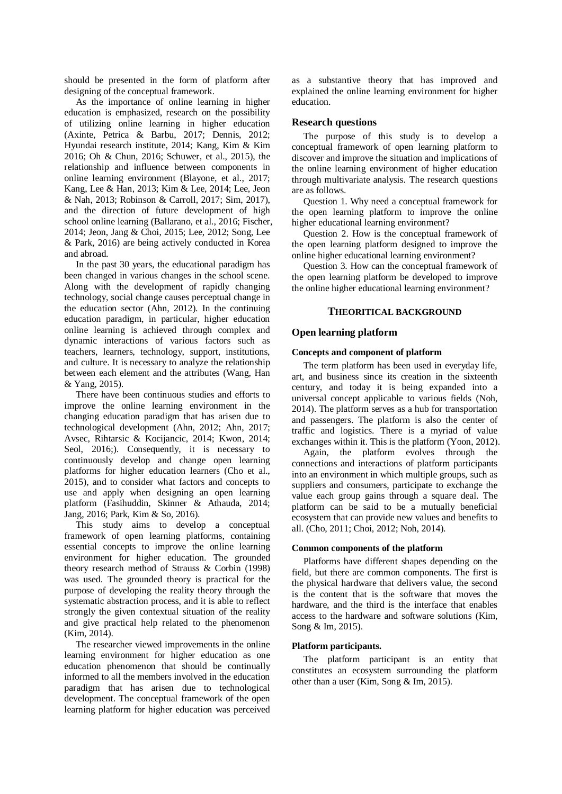should be presented in the form of platform after designing of the conceptual framework.

As the importance of online learning in higher education is emphasized, research on the possibility of utilizing online learning in higher education (Axinte, Petrica & Barbu, 2017; Dennis, 2012; Hyundai research institute, 2014; Kang, Kim & Kim 2016; Oh & Chun, 2016; Schuwer, et al., 2015), the relationship and influence between components in online learning environment (Blayone, et al., 2017; Kang, Lee & Han, 2013; Kim & Lee, 2014; Lee, Jeon & Nah, 2013; Robinson & Carroll, 2017; Sim, 2017), and the direction of future development of high school online learning (Ballarano, et al., 2016; Fischer, 2014; Jeon, Jang & Choi, 2015; Lee, 2012; Song, Lee & Park, 2016) are being actively conducted in Korea and abroad.

In the past 30 years, the educational paradigm has been changed in various changes in the school scene. Along with the development of rapidly changing technology, social change causes perceptual change in the education sector (Ahn, 2012). In the continuing education paradigm, in particular, higher education online learning is achieved through complex and dynamic interactions of various factors such as teachers, learners, technology, support, institutions, and culture. It is necessary to analyze the relationship between each element and the attributes (Wang, Han & Yang, 2015).

There have been continuous studies and efforts to improve the online learning environment in the changing education paradigm that has arisen due to technological development (Ahn, 2012; Ahn, 2017; Avsec, Rihtarsic & Kocijancic, 2014; Kwon, 2014; Seol, 2016;). Consequently, it is necessary to continuously develop and change open learning platforms for higher education learners (Cho et al., 2015), and to consider what factors and concepts to use and apply when designing an open learning platform (Fasihuddin, Skinner & Athauda, 2014; Jang, 2016; Park, Kim & So, 2016).

This study aims to develop a conceptual framework of open learning platforms, containing essential concepts to improve the online learning environment for higher education. The grounded theory research method of Strauss & Corbin (1998) was used. The grounded theory is practical for the purpose of developing the reality theory through the systematic abstraction process, and it is able to reflect strongly the given contextual situation of the reality and give practical help related to the phenomenon (Kim, 2014).

The researcher viewed improvements in the online learning environment for higher education as one education phenomenon that should be continually informed to all the members involved in the education paradigm that has arisen due to technological development. The conceptual framework of the open learning platform for higher education was perceived

as a substantive theory that has improved and explained the online learning environment for higher education.

## **Research questions**

The purpose of this study is to develop a conceptual framework of open learning platform to discover and improve the situation and implications of the online learning environment of higher education through multivariate analysis. The research questions are as follows.

Question 1. Why need a conceptual framework for the open learning platform to improve the online higher educational learning environment?

Question 2. How is the conceptual framework of the open learning platform designed to improve the online higher educational learning environment?

Question 3. How can the conceptual framework of the open learning platform be developed to improve the online higher educational learning environment?

## **THEORITICAL BACKGROUND**

## **Open learning platform**

#### **Concepts and component of platform**

The term platform has been used in everyday life, art, and business since its creation in the sixteenth century, and today it is being expanded into a universal concept applicable to various fields (Noh, 2014). The platform serves as a hub for transportation and passengers. The platform is also the center of traffic and logistics. There is a myriad of value exchanges within it. This is the platform (Yoon, 2012).

Again, the platform evolves through the connections and interactions of platform participants into an environment in which multiple groups, such as suppliers and consumers, participate to exchange the value each group gains through a square deal. The platform can be said to be a mutually beneficial ecosystem that can provide new values and benefits to all. (Cho, 2011; Choi, 2012; Noh, 2014).

## **Common components of the platform**

Platforms have different shapes depending on the field, but there are common components. The first is the physical hardware that delivers value, the second is the content that is the software that moves the hardware, and the third is the interface that enables access to the hardware and software solutions (Kim, Song & Im, 2015).

## **Platform participants.**

The platform participant is an entity that constitutes an ecosystem surrounding the platform other than a user (Kim, Song & Im, 2015).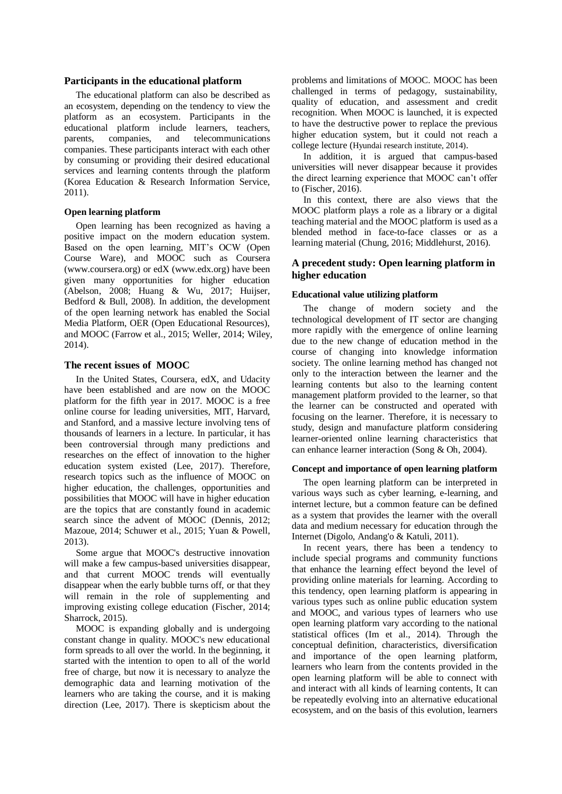## **Participants in the educational platform**

The educational platform can also be described as an ecosystem, depending on the tendency to view the platform as an ecosystem. Participants in the educational platform include learners, teachers, parents, companies, and telecommunications companies. These participants interact with each other by consuming or providing their desired educational services and learning contents through the platform (Korea Education & Research Information Service, 2011).

## **Open learning platform**

Open learning has been recognized as having a positive impact on the modern education system. Based on the open learning, MIT's OCW (Open Course Ware), and MOOC such as Coursera (www.coursera.org) or edX (www.edx.org) have been given many opportunities for higher education (Abelson, 2008; Huang & Wu, 2017; Huijser, Bedford & Bull, 2008). In addition, the development of the open learning network has enabled the Social Media Platform, OER (Open Educational Resources), and MOOC (Farrow et al., 2015; Weller, 2014; Wiley, 2014).

## **The recent issues of MOOC**

In the United States, Coursera, edX, and Udacity have been established and are now on the MOOC platform for the fifth year in 2017. MOOC is a free online course for leading universities, MIT, Harvard, and Stanford, and a massive lecture involving tens of thousands of learners in a lecture. In particular, it has been controversial through many predictions and researches on the effect of innovation to the higher education system existed (Lee, 2017). Therefore, research topics such as the influence of MOOC on higher education, the challenges, opportunities and possibilities that MOOC will have in higher education are the topics that are constantly found in academic search since the advent of MOOC (Dennis, 2012; Mazoue, 2014; Schuwer et al., 2015; Yuan & Powell, 2013).

Some argue that MOOC's destructive innovation will make a few campus-based universities disappear, and that current MOOC trends will eventually disappear when the early bubble turns off, or that they will remain in the role of supplementing and improving existing college education (Fischer, 2014; Sharrock, 2015).

MOOC is expanding globally and is undergoing constant change in quality. MOOC's new educational form spreads to all over the world. In the beginning, it started with the intention to open to all of the world free of charge, but now it is necessary to analyze the demographic data and learning motivation of the learners who are taking the course, and it is making direction (Lee, 2017). There is skepticism about the

problems and limitations of MOOC. MOOC has been challenged in terms of pedagogy, sustainability, quality of education, and assessment and credit recognition. When MOOC is launched, it is expected to have the destructive power to replace the previous higher education system, but it could not reach a college lecture (Hyundai research institute, 2014).

In addition, it is argued that campus-based universities will never disappear because it provides the direct learning experience that MOOC can't offer to (Fischer, 2016).

In this context, there are also views that the MOOC platform plays a role as a library or a digital teaching material and the MOOC platform is used as a blended method in face-to-face classes or as a learning material (Chung, 2016; Middlehurst, 2016).

# **A precedent study: Open learning platform in higher education**

## **Educational value utilizing platform**

The change of modern society and the technological development of IT sector are changing more rapidly with the emergence of online learning due to the new change of education method in the course of changing into knowledge information society. The online learning method has changed not only to the interaction between the learner and the learning contents but also to the learning content management platform provided to the learner, so that the learner can be constructed and operated with focusing on the learner. Therefore, it is necessary to study, design and manufacture platform considering learner-oriented online learning characteristics that can enhance learner interaction (Song & Oh, 2004).

## **Concept and importance of open learning platform**

The open learning platform can be interpreted in various ways such as cyber learning, e-learning, and internet lecture, but a common feature can be defined as a system that provides the learner with the overall data and medium necessary for education through the Internet (Digolo, Andang'o & Katuli, 2011).

In recent years, there has been a tendency to include special programs and community functions that enhance the learning effect beyond the level of providing online materials for learning. According to this tendency, open learning platform is appearing in various types such as online public education system and MOOC, and various types of learners who use open learning platform vary according to the national statistical offices (Im et al., 2014). Through the conceptual definition, characteristics, diversification and importance of the open learning platform, learners who learn from the contents provided in the open learning platform will be able to connect with and interact with all kinds of learning contents, It can be repeatedly evolving into an alternative educational ecosystem, and on the basis of this evolution, learners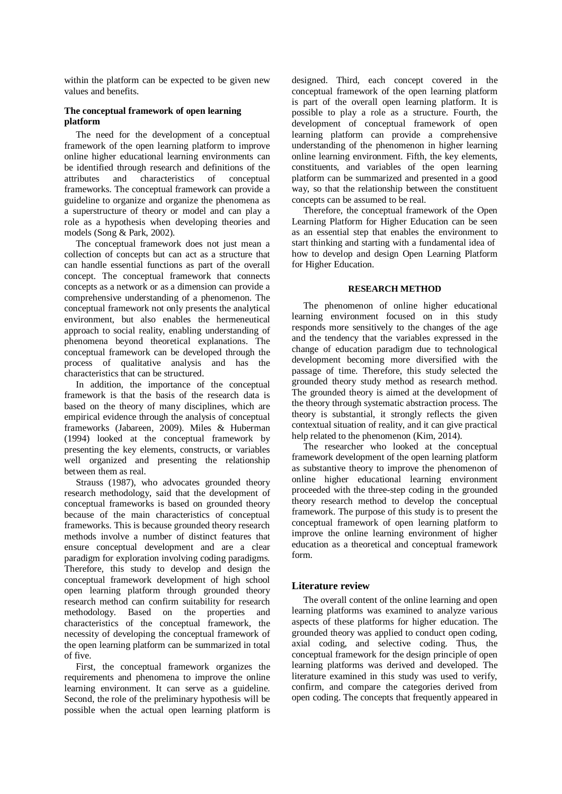within the platform can be expected to be given new values and benefits.

## **The conceptual framework of open learning platform**

The need for the development of a conceptual framework of the open learning platform to improve online higher educational learning environments can be identified through research and definitions of the attributes and characteristics of conceptual frameworks. The conceptual framework can provide a guideline to organize and organize the phenomena as a superstructure of theory or model and can play a role as a hypothesis when developing theories and models (Song & Park, 2002).

The conceptual framework does not just mean a collection of concepts but can act as a structure that can handle essential functions as part of the overall concept. The conceptual framework that connects concepts as a network or as a dimension can provide a comprehensive understanding of a phenomenon. The conceptual framework not only presents the analytical environment, but also enables the hermeneutical approach to social reality, enabling understanding of phenomena beyond theoretical explanations. The conceptual framework can be developed through the process of qualitative analysis and has the characteristics that can be structured.

In addition, the importance of the conceptual framework is that the basis of the research data is based on the theory of many disciplines, which are empirical evidence through the analysis of conceptual frameworks (Jabareen, 2009). Miles & Huberman (1994) looked at the conceptual framework by presenting the key elements, constructs, or variables well organized and presenting the relationship between them as real.

Strauss (1987), who advocates grounded theory research methodology, said that the development of conceptual frameworks is based on grounded theory because of the main characteristics of conceptual frameworks. This is because grounded theory research methods involve a number of distinct features that ensure conceptual development and are a clear paradigm for exploration involving coding paradigms. Therefore, this study to develop and design the conceptual framework development of high school open learning platform through grounded theory research method can confirm suitability for research methodology. Based on the properties and characteristics of the conceptual framework, the necessity of developing the conceptual framework of the open learning platform can be summarized in total of five.

First, the conceptual framework organizes the requirements and phenomena to improve the online learning environment. It can serve as a guideline. Second, the role of the preliminary hypothesis will be possible when the actual open learning platform is

designed. Third, each concept covered in the conceptual framework of the open learning platform is part of the overall open learning platform. It is possible to play a role as a structure. Fourth, the development of conceptual framework of open learning platform can provide a comprehensive understanding of the phenomenon in higher learning online learning environment. Fifth, the key elements, constituents, and variables of the open learning platform can be summarized and presented in a good way, so that the relationship between the constituent concepts can be assumed to be real.

Therefore, the conceptual framework of the Open Learning Platform for Higher Education can be seen as an essential step that enables the environment to start thinking and starting with a fundamental idea of how to develop and design Open Learning Platform for Higher Education.

## **RESEARCH METHOD**

The phenomenon of online higher educational learning environment focused on in this study responds more sensitively to the changes of the age and the tendency that the variables expressed in the change of education paradigm due to technological development becoming more diversified with the passage of time. Therefore, this study selected the grounded theory study method as research method. The grounded theory is aimed at the development of the theory through systematic abstraction process. The theory is substantial, it strongly reflects the given contextual situation of reality, and it can give practical help related to the phenomenon (Kim, 2014).

The researcher who looked at the conceptual framework development of the open learning platform as substantive theory to improve the phenomenon of online higher educational learning environment proceeded with the three-step coding in the grounded theory research method to develop the conceptual framework. The purpose of this study is to present the conceptual framework of open learning platform to improve the online learning environment of higher education as a theoretical and conceptual framework form.

## **Literature review**

The overall content of the online learning and open learning platforms was examined to analyze various aspects of these platforms for higher education. The grounded theory was applied to conduct open coding, axial coding, and selective coding. Thus, the conceptual framework for the design principle of open learning platforms was derived and developed. The literature examined in this study was used to verify, confirm, and compare the categories derived from open coding. The concepts that frequently appeared in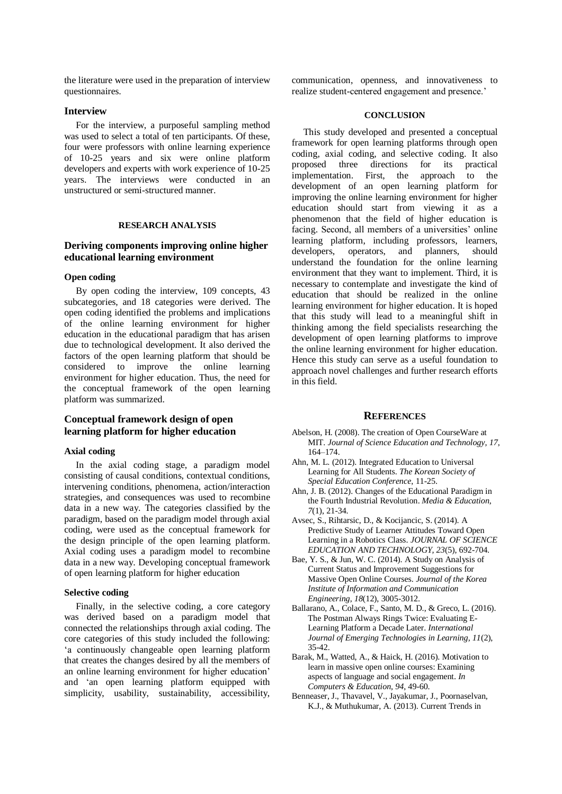the literature were used in the preparation of interview questionnaires.

## **Interview**

For the interview, a purposeful sampling method was used to select a total of ten participants. Of these, four were professors with online learning experience of 10-25 years and six were online platform developers and experts with work experience of 10-25 years. The interviews were conducted in an unstructured or semi-structured manner.

## **RESEARCH ANALYSIS**

# **Deriving components improving online higher educational learning environment**

#### **Open coding**

By open coding the interview, 109 concepts, 43 subcategories, and 18 categories were derived. The open coding identified the problems and implications of the online learning environment for higher education in the educational paradigm that has arisen due to technological development. It also derived the factors of the open learning platform that should be considered to improve the online learning environment for higher education. Thus, the need for the conceptual framework of the open learning platform was summarized.

# **Conceptual framework design of open learning platform for higher education**

## **Axial coding**

In the axial coding stage, a paradigm model consisting of causal conditions, contextual conditions, intervening conditions, phenomena, action/interaction strategies, and consequences was used to recombine data in a new way. The categories classified by the paradigm, based on the paradigm model through axial coding, were used as the conceptual framework for the design principle of the open learning platform. Axial coding uses a paradigm model to recombine data in a new way. Developing conceptual framework of open learning platform for higher education

## **Selective coding**

Finally, in the selective coding, a core category was derived based on a paradigm model that connected the relationships through axial coding. The core categories of this study included the following: 'a continuously changeable open learning platform that creates the changes desired by all the members of an online learning environment for higher education' and 'an open learning platform equipped with simplicity, usability, sustainability, accessibility,

communication, openness, and innovativeness to realize student-centered engagement and presence.'

#### **CONCLUSION**

This study developed and presented a conceptual framework for open learning platforms through open coding, axial coding, and selective coding. It also proposed three directions for its practical implementation. First, the approach to the development of an open learning platform for improving the online learning environment for higher education should start from viewing it as a phenomenon that the field of higher education is facing. Second, all members of a universities' online learning platform, including professors, learners, developers, operators, and planners, should understand the foundation for the online learning environment that they want to implement. Third, it is necessary to contemplate and investigate the kind of education that should be realized in the online learning environment for higher education. It is hoped that this study will lead to a meaningful shift in thinking among the field specialists researching the development of open learning platforms to improve the online learning environment for higher education. Hence this study can serve as a useful foundation to approach novel challenges and further research efforts in this field.

#### **REFERENCES**

- Abelson, H. (2008). The creation of Open CourseWare at MIT. *Journal of Science Education and Technology, 17*, 164–174.
- Ahn, M. L. (2012). Integrated Education to Universal Learning for All Students. *The Korean Society of Special Education Conference*, 11-25.
- Ahn, J. B. (2012). Changes of the Educational Paradigm in the Fourth Industrial Revolution. *Media & Education, 7*(1), 21-34.
- Avsec, S., Rihtarsic, D., & Kocijancic, S. (2014). A Predictive Study of Learner Attitudes Toward Open Learning in a Robotics Class. *JOURNAL OF SCIENCE EDUCATION AND TECHNOLOGY, 23*(5), 692-704.
- Bae, Y. S., & Jun, W. C. (2014). A Study on Analysis of Current Status and Improvement Suggestions for Massive Open Online Courses. *Journal of the Korea Institute of Information and Communication Engineering, 18*(12), 3005-3012.
- Ballarano, A., Colace, F., Santo, M. D., & Greco, L. (2016). The Postman Always Rings Twice: Evaluating E-Learning Platform a Decade Later. *International Journal of Emerging Technologies in Learning, 11*(2), 35-42.
- Barak, M., Watted, A., & Haick, H. (2016). Motivation to learn in massive open online courses: Examining aspects of language and social engagement. *In Computers & Education, 94*, 49-60.
- Benneaser, J., Thavavel, V., Jayakumar, J., Poornaselvan, K.J., & Muthukumar, A. (2013). Current Trends in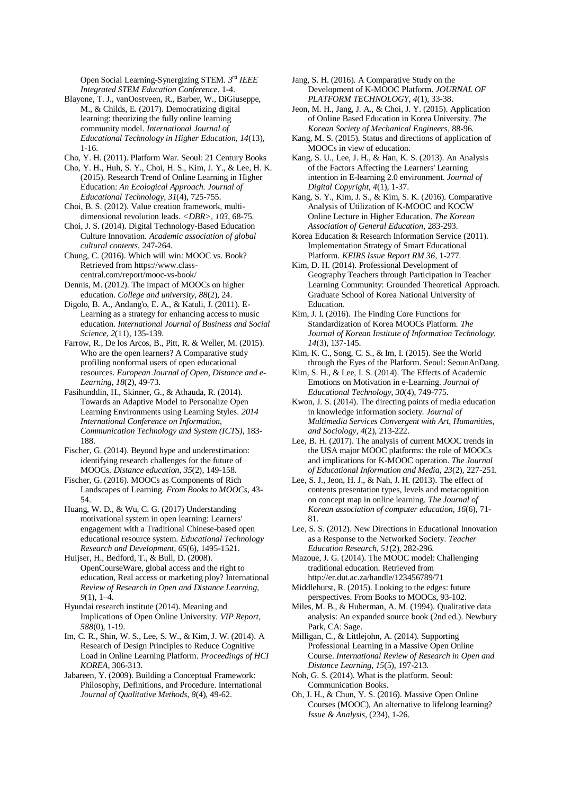Open Social Learning-Synergizing STEM. *3 rd IEEE Integrated STEM Education Conference*. 1-4.

- Blayone, T. J., vanOostveen, R., Barber, W., DiGiuseppe, M., & Childs, E. (2017). Democratizing digital learning: theorizing the fully online learning community model. *International Journal of Educational Technology in Higher Education, 14*(13), 1-16.
- Cho, Y. H. (2011). Platform War. Seoul: 21 Century Books
- Cho, Y. H., Huh, S. Y., Choi, H. S., Kim, J. Y., & Lee, H. K. (2015). Research Trend of Online Learning in Higher Education: *An Ecological Approach. Journal of Educational Technology, 31*(4), 725-755.
- Choi, B. S. (2012). Value creation framework, multidimensional revolution leads. *<DBR>, 103*, 68-75.

Choi, J. S. (2014). Digital Technology-Based Education Culture Innovation. *Academic association of global cultural contents*, 247-264.

Chung, C. (2016). Which will win: MOOC vs. Book? Retrieved from https://www.classcentral.com/report/mooc-vs-book/

Dennis, M. (2012). The impact of MOOCs on higher education. *College and university, 88*(2), 24.

Digolo, B. A., Andang'o, E. A., & Katuli, J. (2011). E-Learning as a strategy for enhancing access to music education. *International Journal of Business and Social Science, 2*(11), 135-139.

Farrow, R., De los Arcos, B., Pitt, R. & Weller, M. (2015). Who are the open learners? A Comparative study profiling nonformal users of open educational resources. *European Journal of Open, Distance and e-Learning, 18*(2), 49-73.

Fasihunddin, H., Skinner, G., & Athauda, R. (2014). Towards an Adaptive Model to Personalize Open Learning Environments using Learning Styles. *2014 International Conference on Information, Communication Technology and System (ICTS),* 183- 188.

Fischer, G. (2014). Beyond hype and underestimation: identifying research challenges for the future of MOOCs. *Distance education, 35*(2), 149-158.

Fischer, G. (2016). MOOCs as Components of Rich Landscapes of Learning. *From Books to MOOCs*, 43- 54.

Huang, W. D., & Wu, C. G. (2017) Understanding motivational system in open learning: Learners' engagement with a Traditional Chinese-based open educational resource system. *Educational Technology Research and Development, 65*(6), 1495-1521.

Huijser, H., Bedford, T., & Bull, D. (2008). OpenCourseWare, global access and the right to education, Real access or marketing ploy? International *Review of Research in Open and Distance Learning, 9*(1), 1–4.

Hyundai research institute (2014). Meaning and Implications of Open Online University. *VIP Report, 588*(0), 1-19.

- Im, C. R., Shin, W. S., Lee, S. W., & Kim, J. W. (2014). A Research of Design Principles to Reduce Cognitive Load in Online Learning Platform. *Proceedings of HCI KOREA*, 306-313.
- Jabareen, Y. (2009). Building a Conceptual Framework: Philosophy, Definitions, and Procedure. International *Journal of Qualitative Methods, 8*(4), 49-62.

Jang, S. H. (2016). A Comparative Study on the Development of K-MOOC Platform. *JOURNAL OF PLATFORM TECHNOLOGY, 4*(1), 33-38.

Jeon, M. H., Jang, J. A., & Choi, J. Y. (2015). Application of Online Based Education in Korea University. *The Korean Society of Mechanical Engineers*, 88-96.

Kang, M. S. (2015). Status and directions of application of MOOCs in view of education.

Kang, S. U., Lee, J. H., & Han, K. S. (2013). An Analysis of the Factors Affecting the Learners' Learning intention in E-learning 2.0 environment. *Journal of Digital Copyright, 4*(1), 1-37.

Kang, S. Y., Kim, J. S., & Kim, S. K. (2016). Comparative Analysis of Utilization of K-MOOC and KOCW Online Lecture in Higher Education. *The Korean Association of General Education*, 283-293.

Korea Education & Research Information Service (2011). Implementation Strategy of Smart Educational Platform. *KEIRS Issue Report RM 36*, 1-277.

Kim, D. H. (2014). Professional Development of Geography Teachers through Participation in Teacher Learning Community: Grounded Theoretical Approach. Graduate School of Korea National University of Education.

Kim, J. I. (2016). The Finding Core Functions for Standardization of Korea MOOCs Platform. *The Journal of Korean Institute of Information Technology, 14*(3), 137-145.

Kim, K. C., Song, C. S., & Im, I. (2015). See the World through the Eyes of the Platform. Seoul: SeounAnDang.

Kim, S. H., & Lee, I. S. (2014). The Effects of Academic Emotions on Motivation in e-Learning. *Journal of Educational Technology, 30*(4), 749-775.

Kwon, J. S. (2014). The directing points of media education in knowledge information society. *Journal of Multimedia Services Convergent with Art, Humanities, and Sociology, 4*(2), 213-222.

Lee, B. H. (2017). The analysis of current MOOC trends in the USA major MOOC platforms: the role of MOOCs and implications for K-MOOC operation. *The Journal of Educational Information and Media, 23*(2), 227-251.

Lee, S. J., Jeon, H. J., & Nah, J. H. (2013). The effect of contents presentation types, levels and metacognition on concept map in online learning. *The Journal of Korean association of computer education, 16*(6), 71- 81.

Lee, S. S. (2012). New Directions in Educational Innovation as a Response to the Networked Society. *Teacher Education Research, 51*(2), 282-296.

Mazoue, J. G. (2014). The MOOC model: Challenging traditional education. Retrieved from http://er.dut.ac.za/handle/123456789/71

Middlehurst, R. (2015). Looking to the edges: future perspectives. From Books to MOOCs, 93-102.

Miles, M. B., & Huberman, A. M. (1994). Qualitative data analysis: An expanded source book (2nd ed.). Newbury Park, CA: Sage.

Milligan, C., & Littlejohn, A. (2014). Supporting Professional Learning in a Massive Open Online Course. *International Review of Research in Open and Distance Learning, 15*(5), 197-213.

- Noh, G. S. (2014). What is the platform. Seoul: Communication Books.
- Oh, J. H., & Chun, Y. S. (2016). Massive Open Online Courses (MOOC), An alternative to lifelong learning? *Issue & Analysis*, (234), 1-26.